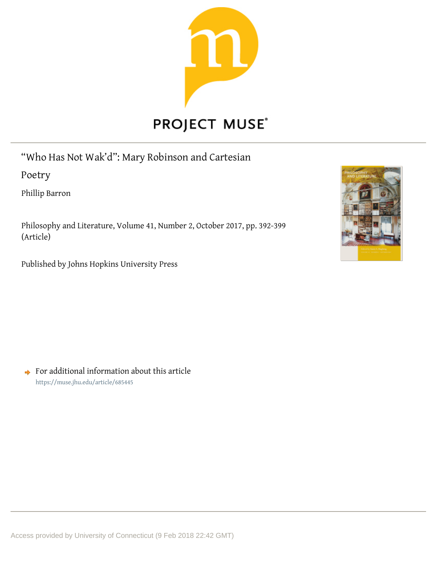

"Who Has Not Wak'd": Mary Robinson and Cartesian

Poetry

Phillip Barron

Philosophy and Literature, Volume 41, Number 2, October 2017, pp. 392-399 (Article)

Published by Johns Hopkins University Press



 $\rightarrow$  For additional information about this article <https://muse.jhu.edu/article/685445>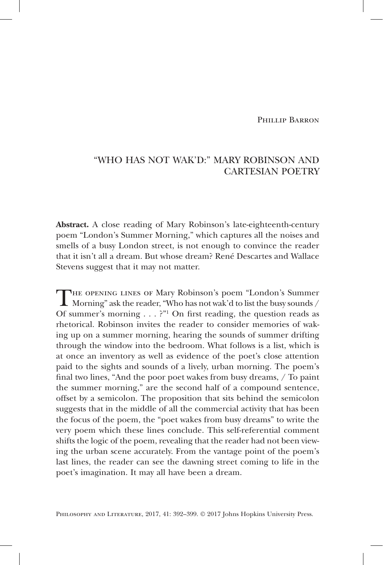## Phillip Barron

# "WHO HAS NOT WAK'D:" MARY ROBINSON AND CARTESIAN POETRY

**Abstract.** A close reading of Mary Robinson's late-eighteenth-century poem "London's Summer Morning," which captures all the noises and smells of a busy London street, is not enough to convince the reader that it isn't all a dream. But whose dream? René Descartes and Wallace Stevens suggest that it may not matter.

THE OPENING LINES OF Mary Robinson's poem "London's Summer Morning" ask the reader, "Who has not wak'd to list the busy sounds / Of summer's morning  $\ldots$  ?"<sup>1</sup> On first reading, the question reads as rhetorical. Robinson invites the reader to consider memories of waking up on a summer morning, hearing the sounds of summer drifting through the window into the bedroom. What follows is a list, which is at once an inventory as well as evidence of the poet's close attention paid to the sights and sounds of a lively, urban morning. The poem's final two lines, "And the poor poet wakes from busy dreams, / To paint the summer morning," are the second half of a compound sentence, offset by a semicolon. The proposition that sits behind the semicolon suggests that in the middle of all the commercial activity that has been the focus of the poem, the "poet wakes from busy dreams" to write the very poem which these lines conclude. This self-referential comment shifts the logic of the poem, revealing that the reader had not been viewing the urban scene accurately. From the vantage point of the poem's last lines, the reader can see the dawning street coming to life in the poet's imagination. It may all have been a dream.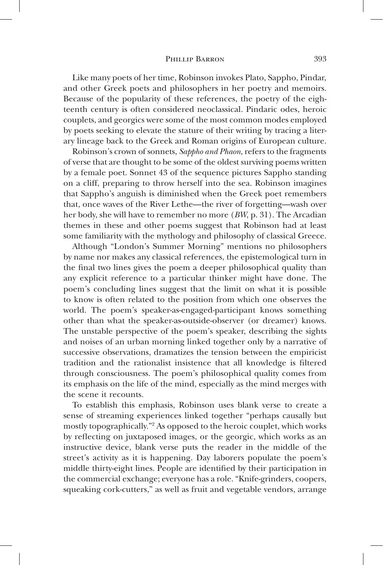### PHILLIP BARRON 393

Like many poets of her time, Robinson invokes Plato, Sappho, Pindar, and other Greek poets and philosophers in her poetry and memoirs. Because of the popularity of these references, the poetry of the eighteenth century is often considered neoclassical. Pindaric odes, heroic couplets, and georgics were some of the most common modes employed by poets seeking to elevate the stature of their writing by tracing a literary lineage back to the Greek and Roman origins of European culture.

Robinson's crown of sonnets, *Sappho and Phaon*, refers to the fragments of verse that are thought to be some of the oldest surviving poems written by a female poet. Sonnet 43 of the sequence pictures Sappho standing on a cliff, preparing to throw herself into the sea. Robinson imagines that Sappho's anguish is diminished when the Greek poet remembers that, once waves of the River Lethe—the river of forgetting—wash over her body, she will have to remember no more (*BW*, p. 31). The Arcadian themes in these and other poems suggest that Robinson had at least some familiarity with the mythology and philosophy of classical Greece.

Although "London's Summer Morning" mentions no philosophers by name nor makes any classical references, the epistemological turn in the final two lines gives the poem a deeper philosophical quality than any explicit reference to a particular thinker might have done. The poem's concluding lines suggest that the limit on what it is possible to know is often related to the position from which one observes the world. The poem's speaker-as-engaged-participant knows something other than what the speaker-as-outside-observer (or dreamer) knows. The unstable perspective of the poem's speaker, describing the sights and noises of an urban morning linked together only by a narrative of successive observations, dramatizes the tension between the empiricist tradition and the rationalist insistence that all knowledge is filtered through consciousness. The poem's philosophical quality comes from its emphasis on the life of the mind, especially as the mind merges with the scene it recounts.

To establish this emphasis, Robinson uses blank verse to create a sense of streaming experiences linked together "perhaps causally but mostly topographically."2 As opposed to the heroic couplet, which works by reflecting on juxtaposed images, or the georgic, which works as an instructive device, blank verse puts the reader in the middle of the street's activity as it is happening. Day laborers populate the poem's middle thirty-eight lines. People are identified by their participation in the commercial exchange; everyone has a role. "Knife-grinders, coopers, squeaking cork-cutters," as well as fruit and vegetable vendors, arrange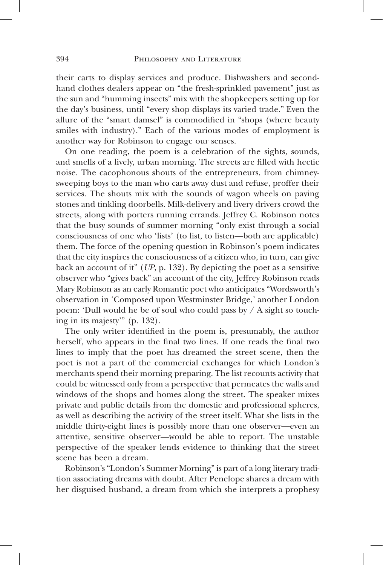their carts to display services and produce. Dishwashers and secondhand clothes dealers appear on "the fresh-sprinkled pavement" just as the sun and "humming insects" mix with the shopkeepers setting up for the day's business, until "every shop displays its varied trade." Even the allure of the "smart damsel" is commodified in "shops (where beauty smiles with industry)." Each of the various modes of employment is another way for Robinson to engage our senses.

On one reading, the poem is a celebration of the sights, sounds, and smells of a lively, urban morning. The streets are filled with hectic noise. The cacophonous shouts of the entrepreneurs, from chimneysweeping boys to the man who carts away dust and refuse, proffer their services. The shouts mix with the sounds of wagon wheels on paving stones and tinkling doorbells. Milk-delivery and livery drivers crowd the streets, along with porters running errands. Jeffrey C. Robinson notes that the busy sounds of summer morning "only exist through a social consciousness of one who 'lists' (to list, to listen—both are applicable) them. The force of the opening question in Robinson's poem indicates that the city inspires the consciousness of a citizen who, in turn, can give back an account of it" (*UP*, p. 132). By depicting the poet as a sensitive observer who "gives back" an account of the city, Jeffrey Robinson reads Mary Robinson as an early Romantic poet who anticipates "Wordsworth's observation in 'Composed upon Westminster Bridge,' another London poem: 'Dull would he be of soul who could pass by / A sight so touching in its majesty'" (p. 132).

The only writer identified in the poem is, presumably, the author herself, who appears in the final two lines. If one reads the final two lines to imply that the poet has dreamed the street scene, then the poet is not a part of the commercial exchanges for which London's merchants spend their morning preparing. The list recounts activity that could be witnessed only from a perspective that permeates the walls and windows of the shops and homes along the street. The speaker mixes private and public details from the domestic and professional spheres, as well as describing the activity of the street itself. What she lists in the middle thirty-eight lines is possibly more than one observer—even an attentive, sensitive observer—would be able to report. The unstable perspective of the speaker lends evidence to thinking that the street scene has been a dream.

Robinson's "London's Summer Morning" is part of a long literary tradition associating dreams with doubt. After Penelope shares a dream with her disguised husband, a dream from which she interprets a prophesy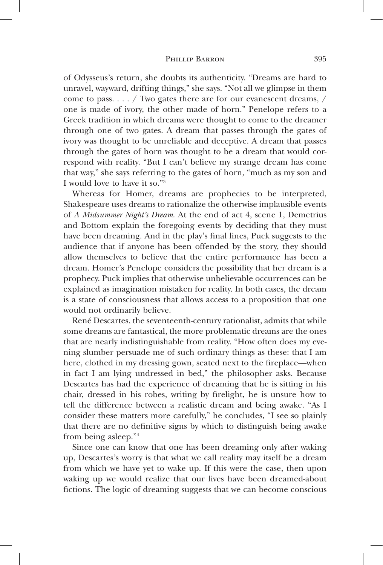of Odysseus's return, she doubts its authenticity. "Dreams are hard to unravel, wayward, drifting things," she says. "Not all we glimpse in them come to pass. . . . / Two gates there are for our evanescent dreams, / one is made of ivory, the other made of horn." Penelope refers to a Greek tradition in which dreams were thought to come to the dreamer through one of two gates. A dream that passes through the gates of ivory was thought to be unreliable and deceptive. A dream that passes through the gates of horn was thought to be a dream that would correspond with reality. "But I can't believe my strange dream has come that way," she says referring to the gates of horn, "much as my son and I would love to have it so."3

Whereas for Homer, dreams are prophecies to be interpreted, Shakespeare uses dreams to rationalize the otherwise implausible events of *A Midsummer Night's Dream*. At the end of act 4, scene 1, Demetrius and Bottom explain the foregoing events by deciding that they must have been dreaming. And in the play's final lines, Puck suggests to the audience that if anyone has been offended by the story, they should allow themselves to believe that the entire performance has been a dream. Homer's Penelope considers the possibility that her dream is a prophecy. Puck implies that otherwise unbelievable occurrences can be explained as imagination mistaken for reality. In both cases, the dream is a state of consciousness that allows access to a proposition that one would not ordinarily believe.

René Descartes, the seventeenth-century rationalist, admits that while some dreams are fantastical, the more problematic dreams are the ones that are nearly indistinguishable from reality. "How often does my evening slumber persuade me of such ordinary things as these: that I am here, clothed in my dressing gown, seated next to the fireplace—when in fact I am lying undressed in bed," the philosopher asks. Because Descartes has had the experience of dreaming that he is sitting in his chair, dressed in his robes, writing by firelight, he is unsure how to tell the difference between a realistic dream and being awake. "As I consider these matters more carefully," he concludes, "I see so plainly that there are no definitive signs by which to distinguish being awake from being asleep."4

Since one can know that one has been dreaming only after waking up, Descartes's worry is that what we call reality may itself be a dream from which we have yet to wake up. If this were the case, then upon waking up we would realize that our lives have been dreamed-about fictions. The logic of dreaming suggests that we can become conscious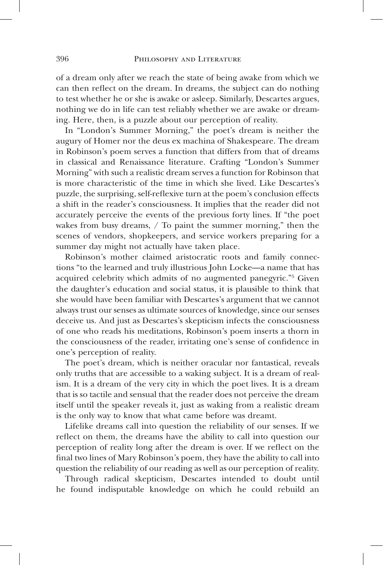of a dream only after we reach the state of being awake from which we can then reflect on the dream. In dreams, the subject can do nothing to test whether he or she is awake or asleep. Similarly, Descartes argues, nothing we do in life can test reliably whether we are awake or dreaming. Here, then, is a puzzle about our perception of reality.

In "London's Summer Morning," the poet's dream is neither the augury of Homer nor the deus ex machina of Shakespeare. The dream in Robinson's poem serves a function that differs from that of dreams in classical and Renaissance literature. Crafting "London's Summer Morning" with such a realistic dream serves a function for Robinson that is more characteristic of the time in which she lived. Like Descartes's puzzle, the surprising, self-reflexive turn at the poem's conclusion effects a shift in the reader's consciousness. It implies that the reader did not accurately perceive the events of the previous forty lines. If "the poet wakes from busy dreams, / To paint the summer morning," then the scenes of vendors, shopkeepers, and service workers preparing for a summer day might not actually have taken place.

Robinson's mother claimed aristocratic roots and family connections "to the learned and truly illustrious John Locke—a name that has acquired celebrity which admits of no augmented panegyric."5 Given the daughter's education and social status, it is plausible to think that she would have been familiar with Descartes's argument that we cannot always trust our senses as ultimate sources of knowledge, since our senses deceive us. And just as Descartes's skepticism infects the consciousness of one who reads his meditations, Robinson's poem inserts a thorn in the consciousness of the reader, irritating one's sense of confidence in one's perception of reality.

The poet's dream, which is neither oracular nor fantastical, reveals only truths that are accessible to a waking subject. It is a dream of realism. It is a dream of the very city in which the poet lives. It is a dream that is so tactile and sensual that the reader does not perceive the dream itself until the speaker reveals it, just as waking from a realistic dream is the only way to know that what came before was dreamt.

Lifelike dreams call into question the reliability of our senses. If we reflect on them, the dreams have the ability to call into question our perception of reality long after the dream is over. If we reflect on the final two lines of Mary Robinson's poem, they have the ability to call into question the reliability of our reading as well as our perception of reality.

Through radical skepticism, Descartes intended to doubt until he found indisputable knowledge on which he could rebuild an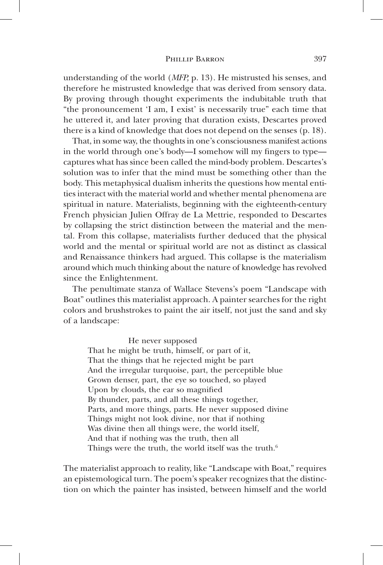understanding of the world (*MFP,* p. 13). He mistrusted his senses, and therefore he mistrusted knowledge that was derived from sensory data. By proving through thought experiments the indubitable truth that "the pronouncement 'I am, I exist' is necessarily true" each time that he uttered it, and later proving that duration exists, Descartes proved there is a kind of knowledge that does not depend on the senses (p. 18).

That, in some way, the thoughts in one's consciousness manifest actions in the world through one's body—I somehow will my fingers to type captures what has since been called the mind-body problem. Descartes's solution was to infer that the mind must be something other than the body. This metaphysical dualism inherits the questions how mental entities interact with the material world and whether mental phenomena are spiritual in nature. Materialists, beginning with the eighteenth-century French physician Julien Offray de La Mettrie, responded to Descartes by collapsing the strict distinction between the material and the mental. From this collapse, materialists further deduced that the physical world and the mental or spiritual world are not as distinct as classical and Renaissance thinkers had argued. This collapse is the materialism around which much thinking about the nature of knowledge has revolved since the Enlightenment.

The penultimate stanza of Wallace Stevens's poem "Landscape with Boat" outlines this materialist approach. A painter searches for the right colors and brushstrokes to paint the air itself, not just the sand and sky of a landscape:

### He never supposed

That he might be truth, himself, or part of it, That the things that he rejected might be part And the irregular turquoise, part, the perceptible blue Grown denser, part, the eye so touched, so played Upon by clouds, the ear so magnified By thunder, parts, and all these things together, Parts, and more things, parts. He never supposed divine Things might not look divine, nor that if nothing Was divine then all things were, the world itself, And that if nothing was the truth, then all Things were the truth, the world itself was the truth. $6$ 

The materialist approach to reality, like "Landscape with Boat," requires an epistemological turn. The poem's speaker recognizes that the distinction on which the painter has insisted, between himself and the world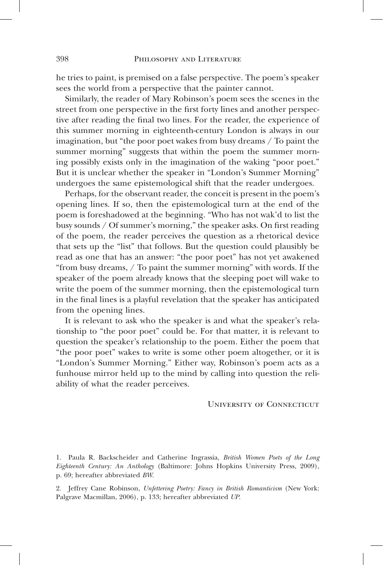he tries to paint, is premised on a false perspective. The poem's speaker sees the world from a perspective that the painter cannot.

Similarly, the reader of Mary Robinson's poem sees the scenes in the street from one perspective in the first forty lines and another perspective after reading the final two lines. For the reader, the experience of this summer morning in eighteenth-century London is always in our imagination, but "the poor poet wakes from busy dreams / To paint the summer morning" suggests that within the poem the summer morning possibly exists only in the imagination of the waking "poor poet." But it is unclear whether the speaker in "London's Summer Morning" undergoes the same epistemological shift that the reader undergoes.

Perhaps, for the observant reader, the conceit is present in the poem's opening lines. If so, then the epistemological turn at the end of the poem is foreshadowed at the beginning. "Who has not wak'd to list the busy sounds / Of summer's morning," the speaker asks. On first reading of the poem, the reader perceives the question as a rhetorical device that sets up the "list" that follows. But the question could plausibly be read as one that has an answer: "the poor poet" has not yet awakened "from busy dreams, / To paint the summer morning" with words. If the speaker of the poem already knows that the sleeping poet will wake to write the poem of the summer morning, then the epistemological turn in the final lines is a playful revelation that the speaker has anticipated from the opening lines.

It is relevant to ask who the speaker is and what the speaker's relationship to "the poor poet" could be. For that matter, it is relevant to question the speaker's relationship to the poem. Either the poem that "the poor poet" wakes to write is some other poem altogether, or it is "London's Summer Morning." Either way, Robinson's poem acts as a funhouse mirror held up to the mind by calling into question the reliability of what the reader perceives.

## UNIVERSITY OF CONNECTICUT

1. Paula R. Backscheider and Catherine Ingrassia, *British Women Poets of the Long Eighteenth Century: An Anthology* (Baltimore: Johns Hopkins University Press, 2009), p. 69; hereafter abbreviated *BW*.

2. Jeffrey Cane Robinson, *Unfettering Poetry: Fancy in British Romanticism* (New York: Palgrave Macmillan, 2006), p. 133; hereafter abbreviated *UP*.